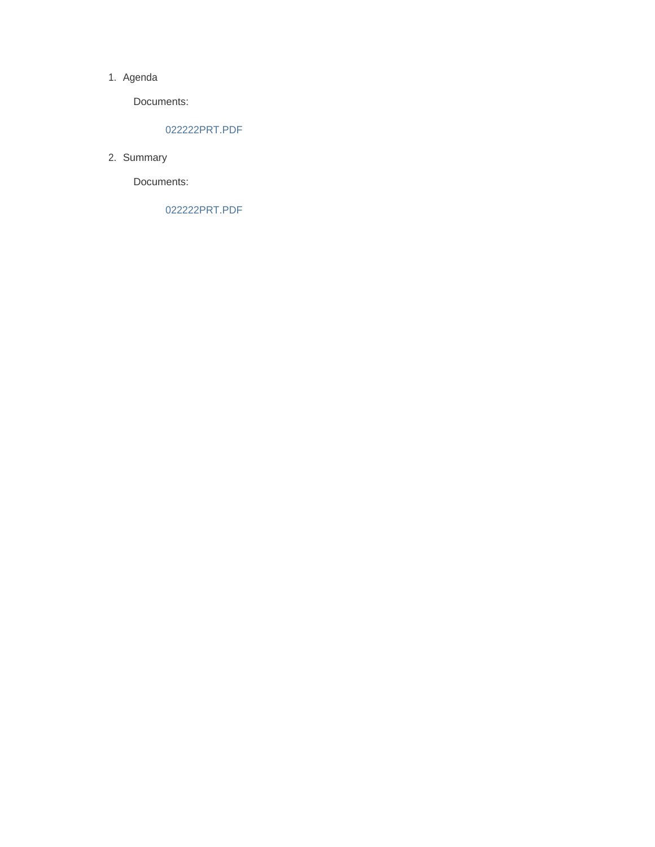#### 1. Agenda

Documents:

#### 022222PRT.PDF

2. Summary

Documents:

022222PRT.PDF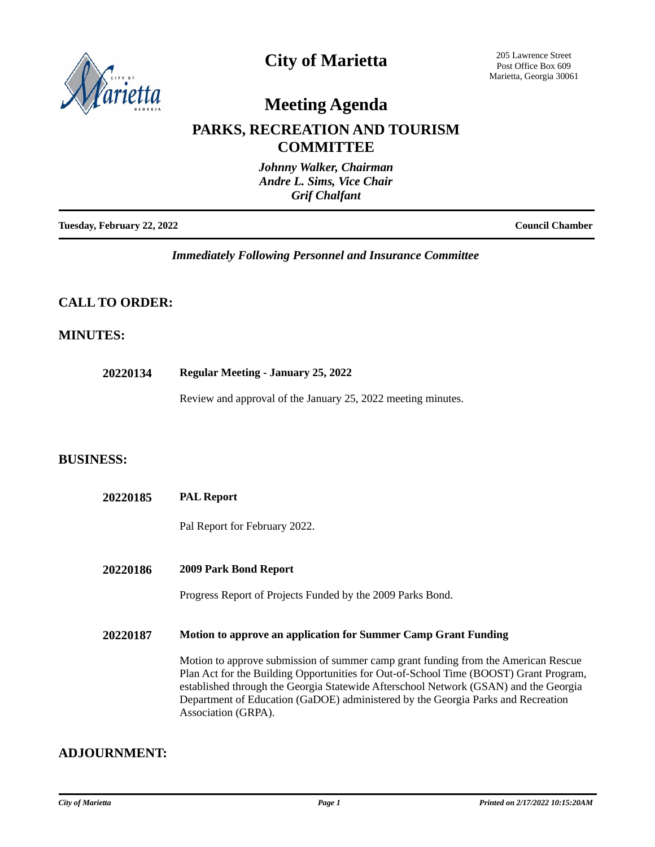

### **City of Marietta**

205 Lawrence Street Post Office Box 609 Marietta, Georgia 30061

# **Meeting Agenda**

### **PARKS, RECREATION AND TOURISM COMMITTEE**

| Johnny Walker, Chairman<br>Andre L. Sims, Vice Chair<br><b>Grif Chalfant</b> |                        |
|------------------------------------------------------------------------------|------------------------|
| Tuesday, February 22, 2022                                                   | <b>Council Chamber</b> |

*Immediately Following Personnel and Insurance Committee*

#### **CALL TO ORDER:**

#### **MINUTES:**

**20220134 Regular Meeting - January 25, 2022**

Review and approval of the January 25, 2022 meeting minutes.

#### **BUSINESS:**

| 20220185 | <b>PAL Report</b>                                                                                                                                                                                                                                                                                                                                                              |
|----------|--------------------------------------------------------------------------------------------------------------------------------------------------------------------------------------------------------------------------------------------------------------------------------------------------------------------------------------------------------------------------------|
|          | Pal Report for February 2022.                                                                                                                                                                                                                                                                                                                                                  |
| 20220186 | <b>2009 Park Bond Report</b><br>Progress Report of Projects Funded by the 2009 Parks Bond.                                                                                                                                                                                                                                                                                     |
| 20220187 | Motion to approve an application for Summer Camp Grant Funding                                                                                                                                                                                                                                                                                                                 |
|          | Motion to approve submission of summer camp grant funding from the American Rescue<br>Plan Act for the Building Opportunities for Out-of-School Time (BOOST) Grant Program,<br>established through the Georgia Statewide Afterschool Network (GSAN) and the Georgia<br>Department of Education (GaDOE) administered by the Georgia Parks and Recreation<br>Association (GRPA). |

#### **ADJOURNMENT:**